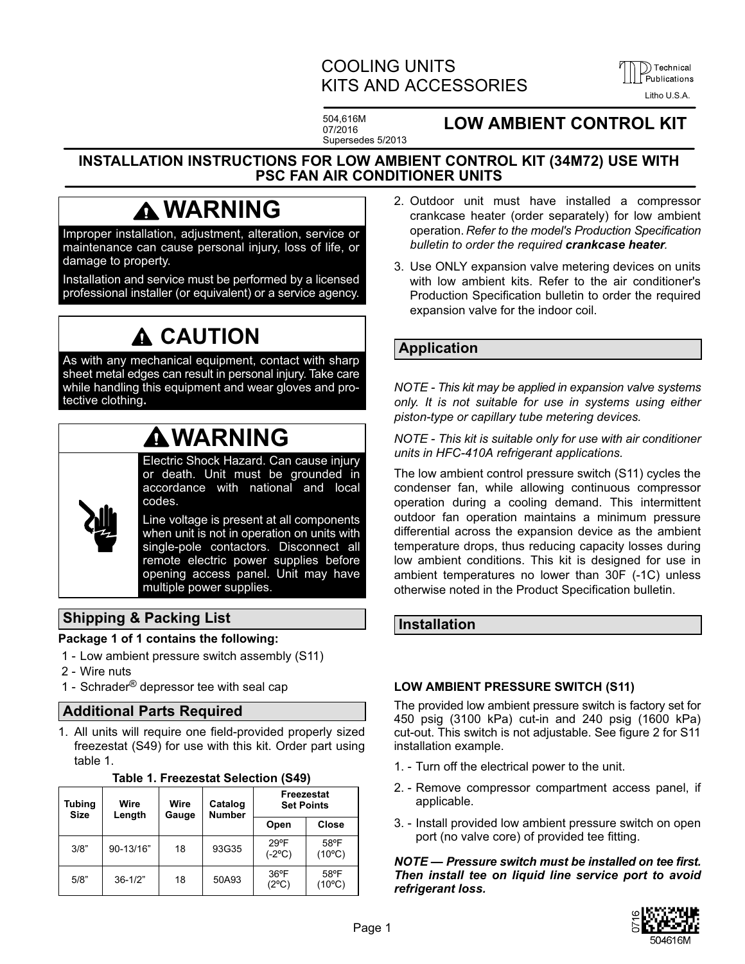# COOLING UNITS KITS AND ACCESSORIES



504,616M 07/2016 Supersedes 5/2013

# **LOW AMBIENT CONTROL KIT**

### <span id="page-0-0"></span>**INSTALLATION INSTRUCTIONS FOR LOW AMBIENT CONTROL KIT (34M72) USE WITH PSC FAN AIR CONDITIONER UNITS**

# **WARNING**

Improper installation, adjustment, alteration, service or maintenance can cause personal injury, loss of life, or damage to property.

Installation and service must be performed by a licensed professional installer (or equivalent) or a service agency.

# **CAUTION**

As with any mechanical equipment, contact with sharp sheet metal edges can result in personal injury. Take care while handling this equipment and wear gloves and protective clothing**.**

# **WARNING**

Electric Shock Hazard. Can cause injury or death. Unit must be grounded in accordance with national and local codes.

Line voltage is present at all components when unit is not in operation on units with single-pole contactors. Disconnect all remote electric power supplies before opening access panel. Unit may have multiple power supplies.

## **Shipping & Packing List**

#### **Package 1 of 1 contains the following:**

- 1 Low ambient pressure switch assembly (S11)
- 2 Wire nuts
- 1 Schrader<sup>®</sup> depressor tee with seal cap

### **Additional Parts Required**

1. All units will require one field-provided properly sized freezestat (S49) for use with this kit. Order part using table 1.

| Tubing<br><b>Size</b> | Wire<br>Length | Wire<br>Gauge | Catalog<br><b>Number</b> | Freezestat<br><b>Set Points</b> |                         |
|-----------------------|----------------|---------------|--------------------------|---------------------------------|-------------------------|
|                       |                |               |                          | Open                            | Close                   |
| 3/8"                  | 90-13/16"      | 18            | 93G35                    | $29^{\circ}F$<br>$(-2$ °C)      | 58°F<br>$(10^{\circ}C)$ |
| 5/8"                  | $36 - 1/2"$    | 18            | 50A93                    | $36^{\circ}$ F<br>(2°C)         | 58°F<br>$(10^{\circ}C)$ |

**Table 1. Freezestat Selection (S49)**

- 2. Outdoor unit must have installed a compressor crankcase heater (order separately) for low ambient operation. *Refer to the model's Production Specification bulletin to order the required crankcase heater.*
- 3. Use ONLY expansion valve metering devices on units with low ambient kits. Refer to the air conditioner's Production Specification bulletin to order the required expansion valve for the indoor coil.

## **Application**

*NOTE - This kit may be applied in expansion valve systems only. It is not suitable for use in systems using either piston-type or capillary tube metering devices.*

*NOTE - This kit is suitable only for use with air conditioner units in HFC-410A refrigerant applications.*

The low ambient control pressure switch (S11) cycles the condenser fan, while allowing continuous compressor operation during a cooling demand. This intermittent outdoor fan operation maintains a minimum pressure differential across the expansion device as the ambient temperature drops, thus reducing capacity losses during low ambient conditions. This kit is designed for use in ambient temperatures no lower than 30F (-1C) unless otherwise noted in the Product Specification bulletin.

### **Installation**

### **LOW AMBIENT PRESSURE SWITCH (S11)**

The provided low ambient pressure switch is factory set for 450 psig (3100 kPa) cut-in and 240 psig (1600 kPa) cut-out. This switch is not adjustable. See figure [2](#page-1-0) for S11 installation example.

- 1. Turn off the electrical power to the unit.
- 2. Remove compressor compartment access panel, if applicable.
- 3. Install provided low ambient pressure switch on open port (no valve core) of provided tee fitting.

*NOTE — Pressure switch must be installed on tee first. Then install tee on liquid line service port to avoid refrigerant loss.*

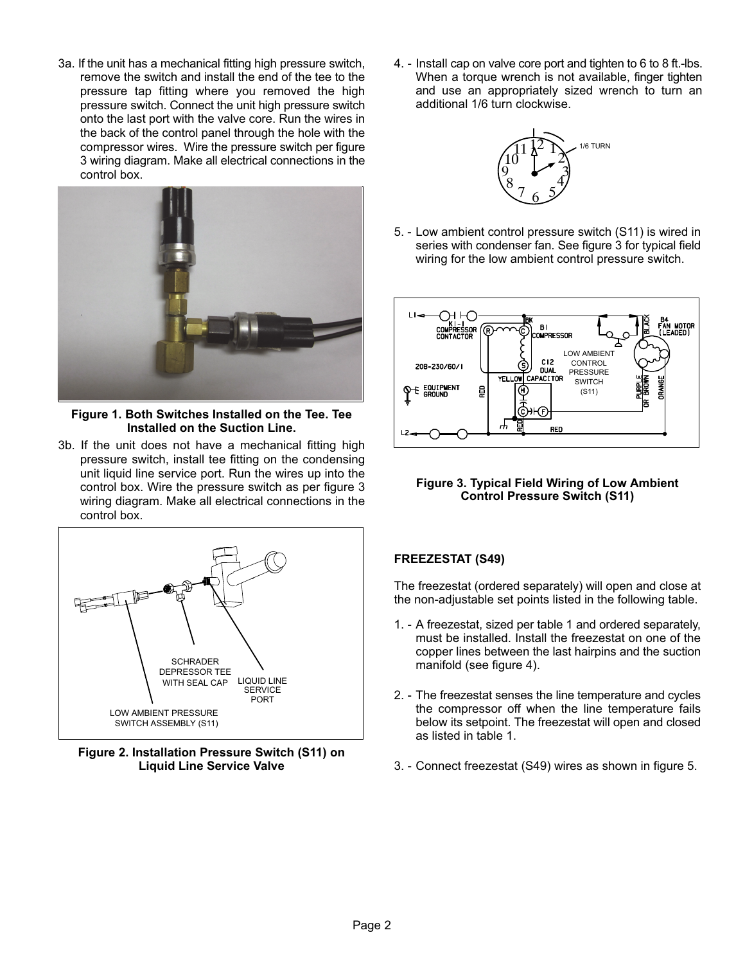<span id="page-1-0"></span>3a. If the unit has a mechanical fitting high pressure switch, remove the switch and install the end of the tee to the pressure tap fitting where you removed the high pressure switch. Connect the unit high pressure switch onto the last port with the valve core. Run the wires in the back of the control panel through the hole with the compressor wires. Wire the pressure switch per figure 3 wiring diagram. Make all electrical connections in the control box.



**Figure 1. Both Switches Installed on the Tee. Tee Installed on the Suction Line.**

3b. If the unit does not have a mechanical fitting high pressure switch, install tee fitting on the condensing unit liquid line service port. Run the wires up into the control box. Wire the pressure switch as per figure 3 wiring diagram. Make all electrical connections in the control box.



**Figure 2. Installation Pressure Switch (S11) on Liquid Line Service Valve**

4. - Install cap on valve core port and tighten to 6 to 8 ft.-lbs. When a torque wrench is not available, finger tighten and use an appropriately sized wrench to turn an additional 1/6 turn clockwise.



5. - Low ambient control pressure switch (S11) is wired in series with condenser fan. See figure 3 for typical field wiring for the low ambient control pressure switch.



**Figure 3. Typical Field Wiring of Low Ambient Control Pressure Switch (S11)**

### **FREEZESTAT (S49)**

The freezestat (ordered separately) will open and close at the non-adjustable set points listed in the following table.

- 1. A freezestat, sized per table [1](#page-0-0) and ordered separately, must be installed. Install the freezestat on one of the copper lines between the last hairpins and the suction manifold (see figure [4\)](#page-2-0).
- 2. The freezestat senses the line temperature and cycles the compressor off when the line temperature fails below its setpoint. The freezestat will open and closed as listed in table [1.](#page-0-0)
- 3. Connect freezestat (S49) wires as shown in figure [5.](#page-2-0)